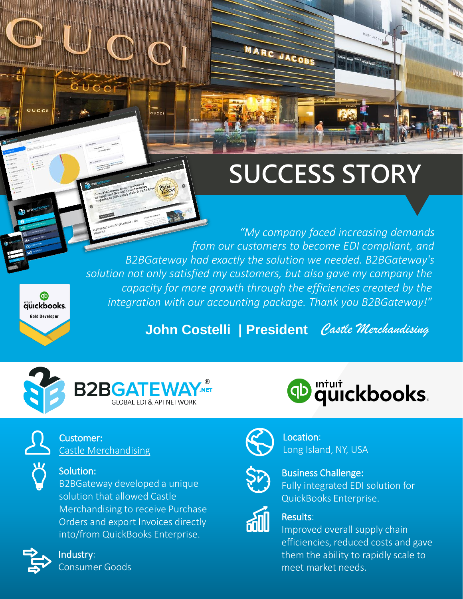# **SUCCESS STORY**

. *B2BGateway had exactly the solution we needed. B2BGateway's "My company faced increasing demands from our customers to become EDI compliant, and solution not only satisfied my customers, but also gave my company the capacity for more growth through the efficiencies created by the integration with our accounting package. Thank you B2BGateway!"*

MARC JACOBS

**John Costelli | President** *Castle Merchandising*





#### Solution:

B2BGateway developed a unique solution that allowed Castle Merchandising to receive Purchase Orders and export Invoices directly into/from QuickBooks Enterprise.



Φ äüickbooks. **Gold Developer** 

Industry: Consumer Goods





Location: Long Island, NY, USA



Business Challenge: Fully integrated EDI solution for QuickBooks Enterprise.



#### Results:

Improved overall supply chain efficiencies, reduced costs and gave them the ability to rapidly scale to meet market needs.